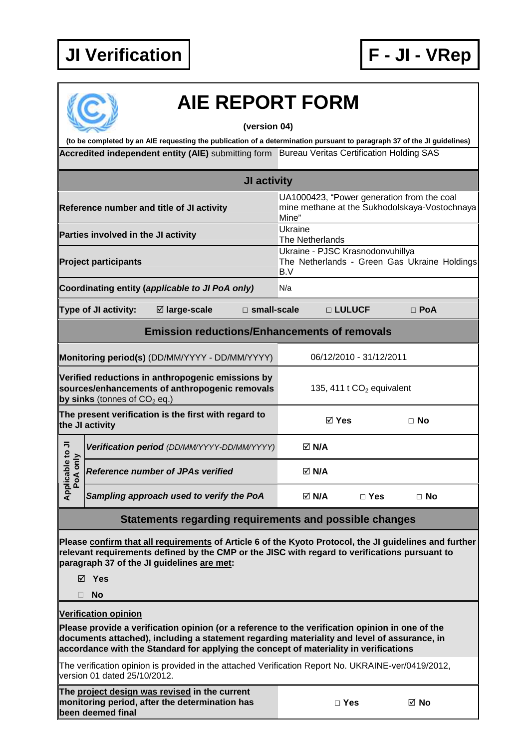



## **AIE REPORT FORM**

**(version 04)** 

Accredited independent entity (AIE) submitting form Bureau Veritas Certification Holding SAS **(to be completed by an AIE requesting the publication of a determination pursuant to paragraph 37 of the JI guidelines)** 

|                                                                                                                                       |                                          |                                                                                                                                                                                                         | <b>JI activity</b>    |                                                                                         |            |                                                                                             |  |
|---------------------------------------------------------------------------------------------------------------------------------------|------------------------------------------|---------------------------------------------------------------------------------------------------------------------------------------------------------------------------------------------------------|-----------------------|-----------------------------------------------------------------------------------------|------------|---------------------------------------------------------------------------------------------|--|
|                                                                                                                                       |                                          | Reference number and title of JI activity                                                                                                                                                               |                       | Mine"                                                                                   |            | UA1000423, "Power generation from the coal<br>mine methane at the Sukhodolskaya-Vostochnaya |  |
| Parties involved in the JI activity                                                                                                   |                                          |                                                                                                                                                                                                         |                       | Ukraine<br>The Netherlands                                                              |            |                                                                                             |  |
| <b>Project participants</b>                                                                                                           |                                          |                                                                                                                                                                                                         |                       | Ukraine - PJSC Krasnodonvuhillya<br>The Netherlands - Green Gas Ukraine Holdings<br>B.V |            |                                                                                             |  |
| Coordinating entity (applicable to JI PoA only)                                                                                       |                                          |                                                                                                                                                                                                         |                       | N/a                                                                                     |            |                                                                                             |  |
|                                                                                                                                       | Type of JI activity:                     | ⊠ large-scale                                                                                                                                                                                           | $\square$ small-scale |                                                                                         | □ LULUCF   | $\Box$ PoA                                                                                  |  |
|                                                                                                                                       |                                          | <b>Emission reductions/Enhancements of removals</b>                                                                                                                                                     |                       |                                                                                         |            |                                                                                             |  |
| Monitoring period(s) (DD/MM/YYYY - DD/MM/YYYY)                                                                                        |                                          |                                                                                                                                                                                                         |                       | 06/12/2010 - 31/12/2011                                                                 |            |                                                                                             |  |
| Verified reductions in anthropogenic emissions by<br>sources/enhancements of anthropogenic removals<br>by sinks (tonnes of $CO2$ eq.) |                                          |                                                                                                                                                                                                         |                       | 135, 411 t $CO2$ equivalent                                                             |            |                                                                                             |  |
|                                                                                                                                       | the JI activity                          | The present verification is the first with regard to                                                                                                                                                    |                       | ⊠ Yes                                                                                   |            | $\Box$ No                                                                                   |  |
|                                                                                                                                       |                                          | Verification period (DD/MM/YYYY-DD/MM/YYYY)                                                                                                                                                             |                       | <b>⊠ N/A</b>                                                                            |            |                                                                                             |  |
| Applicable to JI<br>PoA only                                                                                                          | <b>Reference number of JPAs verified</b> |                                                                                                                                                                                                         | $\boxtimes$ N/A       |                                                                                         |            |                                                                                             |  |
|                                                                                                                                       |                                          | Sampling approach used to verify the PoA                                                                                                                                                                |                       | $\boxtimes$ N/A                                                                         | $\Box$ Yes | $\Box$ No                                                                                   |  |
|                                                                                                                                       |                                          | Statements regarding requirements and possible changes                                                                                                                                                  |                       |                                                                                         |            |                                                                                             |  |
|                                                                                                                                       |                                          | Please confirm that all requirements of Article 6 of the Kyoto Protocol, the JI guidelines and further<br>relevant requirements defined by the CMP or the JISC with regard to verifications pursuant to |                       |                                                                                         |            |                                                                                             |  |

**paragraph 37 of the JI guidelines are met:** 

**Yes** 

**No** 

**Verification opinion**

**Please provide a verification opinion (or a reference to the verification opinion in one of the documents attached), including a statement regarding materiality and level of assurance, in accordance with the Standard for applying the concept of materiality in verifications** 

The verification opinion is provided in the attached Verification Report No. UKRAINE-ver/0419/2012, version 01 dated 25/10/2012.

**The project design was revised in the current monitoring period, after the determination has been deemed final** 

| ×<br>۰.<br>v<br>w |  |
|-------------------|--|
|-------------------|--|

**□ Yes No**